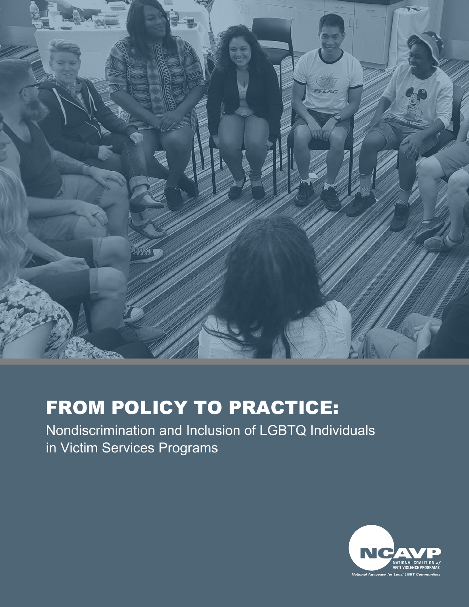

# FROM POLICY TO PRACTICE:

Nondiscrimination and Inclusion of LGBTQ Individuals in Victim Services Programs

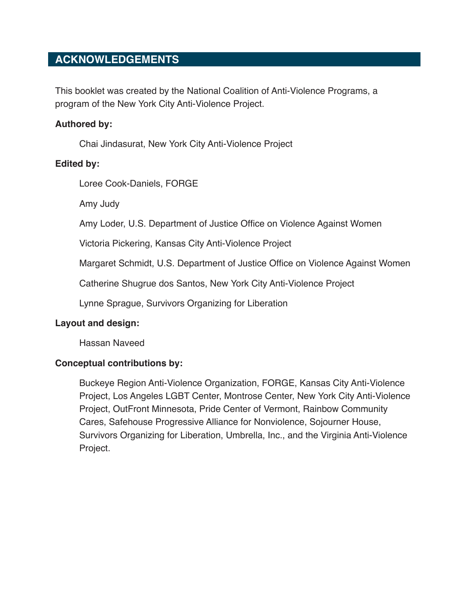# **ACKNOWLEDGEMENTS**

This booklet was created by the National Coalition of Anti-Violence Programs, a program of the New York City Anti-Violence Project.

#### **Authored by:**

Chai Jindasurat, New York City Anti-Violence Project

#### **Edited by:**

Loree Cook-Daniels, FORGE

Amy Judy

Amy Loder, U.S. Department of Justice Office on Violence Against Women

Victoria Pickering, Kansas City Anti-Violence Project

Margaret Schmidt, U.S. Department of Justice Office on Violence Against Women

Catherine Shugrue dos Santos, New York City Anti-Violence Project

Lynne Sprague, Survivors Organizing for Liberation

#### **Layout and design:**

Hassan Naveed

# **Conceptual contributions by:**

Buckeye Region Anti-Violence Organization, FORGE, Kansas City Anti-Violence Project, Los Angeles LGBT Center, Montrose Center, New York City Anti-Violence Project, OutFront Minnesota, Pride Center of Vermont, Rainbow Community Cares, Safehouse Progressive Alliance for Nonviolence, Sojourner House, Survivors Organizing for Liberation, Umbrella, Inc., and the Virginia Anti-Violence Project.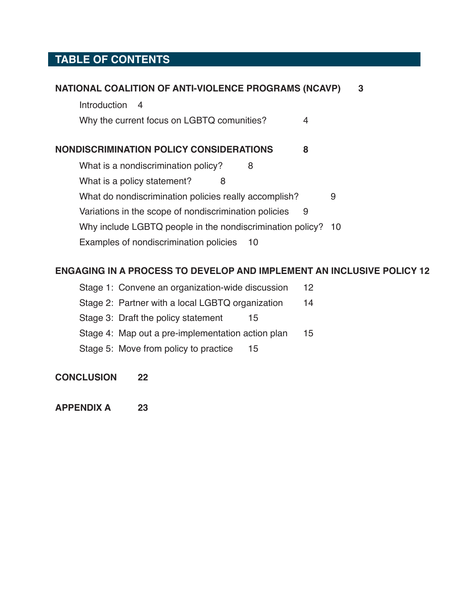# **TABLE OF CONTENTS**

| NATIONAL COALITION OF ANTI-VIOLENCE PROGRAMS (NCAVP)                  | 3    |
|-----------------------------------------------------------------------|------|
| <b>Introduction</b><br>-4                                             |      |
| Why the current focus on LGBTQ comunities?<br>4                       |      |
| NONDISCRIMINATION POLICY CONSIDERATIONS<br>8                          |      |
| What is a nondiscrimination policy?<br>8                              |      |
| What is a policy statement?<br>8                                      |      |
| What do nondiscrimination policies really accomplish?                 | 9    |
| Variations in the scope of nondiscrimination policies<br>9            |      |
| Why include LGBTQ people in the nondiscrimination policy?             | - 10 |
| Examples of nondiscrimination policies<br>10                          |      |
|                                                                       |      |
| ENGAGING IN A PROCESS TO DEVELOP AND IMPLEMENT AN INCLUSIVE POLICY 12 |      |
| Stage 1: Convene an organization-wide discussion<br>12                |      |

- [Stage 2: Partner with a local LGBTQ organization](#page-14-0) 14
- [Stage 3: Draft the policy statement](#page-15-0) 15
- [Stage 4: Map out a pre-implementation action plan](#page-15-0) 15
- [Stage 5: Move from policy to practice](#page-15-0) 15
- **[CONCLUSION 22](#page-22-0)**
- **[APPENDIX A](#page-23-0) 23**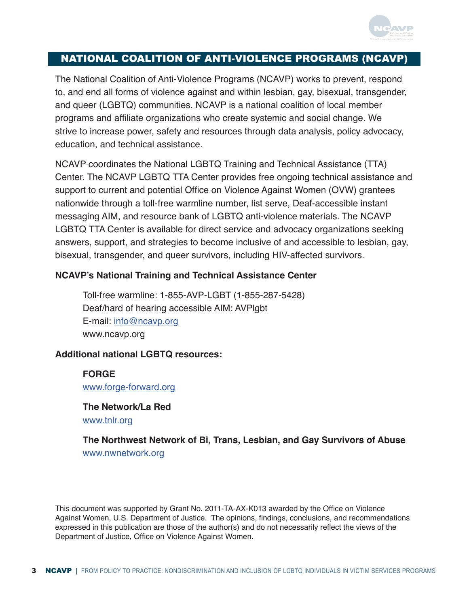

# <span id="page-3-0"></span>NATIONAL COALITION OF ANTI-VIOLENCE PROGRAMS (NCAVP)

The National Coalition of Anti-Violence Programs (NCAVP) works to prevent, respond to, and end all forms of violence against and within lesbian, gay, bisexual, transgender, and queer (LGBTQ) communities. NCAVP is a national coalition of local member programs and affiliate organizations who create systemic and social change. We strive to increase power, safety and resources through data analysis, policy advocacy, education, and technical assistance.

NCAVP coordinates the National LGBTQ Training and Technical Assistance (TTA) Center. The NCAVP LGBTQ TTA Center provides free ongoing technical assistance and support to current and potential Office on Violence Against Women (OVW) grantees nationwide through a toll-free warmline number, list serve, Deaf-accessible instant messaging AIM, and resource bank of LGBTQ anti-violence materials. The NCAVP LGBTQ TTA Center is available for direct service and advocacy organizations seeking answers, support, and strategies to become inclusive of and accessible to lesbian, gay, bisexual, transgender, and queer survivors, including HIV-affected survivors.

# **NCAVP's National Training and Technical Assistance Center**

Toll-free warmline: 1-855-AVP-LGBT (1-855-287-5428) Deaf/hard of hearing accessible AIM: AVPlgbt E-mail: info@ncavp.org www.ncavp.org

# **Additional national LGBTQ resources:**

**FORGE** [www.forge-forward.org](http://www.forge-forward.org)

# **The Network/La Red** [www.tnlr.org](http://www.tnlr.org)

**The Northwest Network of Bi, Trans, Lesbian, and Gay Survivors of Abuse** [www.nwnetwork.org](http://www.nwnetwork.org)

This document was supported by Grant No. 2011-TA-AX-K013 awarded by the Office on Violence Against Women, U.S. Department of Justice. The opinions, findings, conclusions, and recommendations expressed in this publication are those of the author(s) and do not necessarily reflect the views of the Department of Justice, Office on Violence Against Women.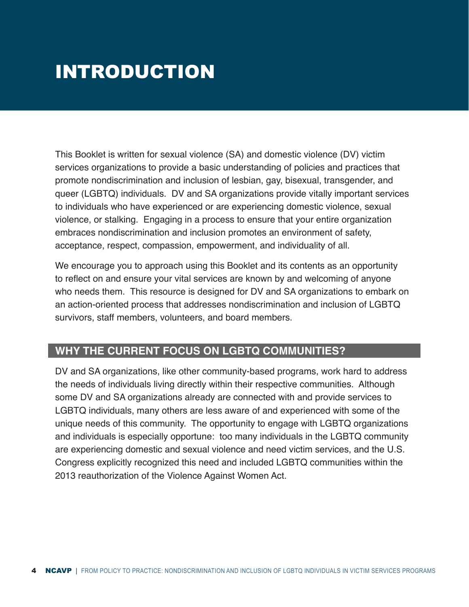# <span id="page-4-0"></span>**INTRODUCTION**

This Booklet is written for sexual violence (SA) and domestic violence (DV) victim services organizations to provide a basic understanding of policies and practices that promote nondiscrimination and inclusion of lesbian, gay, bisexual, transgender, and queer (LGBTQ) individuals. DV and SA organizations provide vitally important services to individuals who have experienced or are experiencing domestic violence, sexual violence, or stalking. Engaging in a process to ensure that your entire organization embraces nondiscrimination and inclusion promotes an environment of safety, acceptance, respect, compassion, empowerment, and individuality of all.

We encourage you to approach using this Booklet and its contents as an opportunity to reflect on and ensure your vital services are known by and welcoming of anyone who needs them. This resource is designed for DV and SA organizations to embark on an action-oriented process that addresses nondiscrimination and inclusion of LGBTQ survivors, staff members, volunteers, and board members.

# **WHY THE CURRENT FOCUS ON LGBTQ COMMUNITIES?**

DV and SA organizations, like other community-based programs, work hard to address the needs of individuals living directly within their respective communities. Although some DV and SA organizations already are connected with and provide services to LGBTQ individuals, many others are less aware of and experienced with some of the unique needs of this community. The opportunity to engage with LGBTQ organizations and individuals is especially opportune: too many individuals in the LGBTQ community are experiencing domestic and sexual violence and need victim services, and the U.S. Congress explicitly recognized this need and included LGBTQ communities within the 2013 reauthorization of the Violence Against Women Act.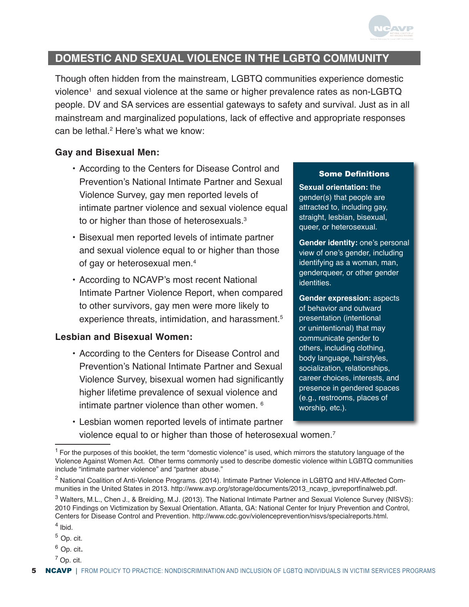

# **DOMESTIC AND SEXUAL VIOLENCE IN THE LGBTQ COMMUNIT**

Though often hidden from the mainstream, LGBTQ communities experience domestic violence<sup>1</sup> and sexual violence at the same or higher prevalence rates as non-LGBTQ people. DV and SA services are essential gateways to safety and survival. Just as in all mainstream and marginalized populations, lack of effective and appropriate responses can be lethal.<sup>2</sup> Here's what we know:

## **Gay and Bisexual Men:**

- According to the Centers for Disease Control and Prevention's National Intimate Partner and Sexual Violence Survey, gay men reported levels of intimate partner violence and sexual violence equal to or higher than those of heterosexuals.<sup>3</sup>
- Bisexual men reported levels of intimate partner and sexual violence equal to or higher than those of gay or heterosexual men.4
- According to NCAVP's most recent National Intimate Partner Violence Report, when compared to other survivors, gay men were more likely to experience threats, intimidation, and harassment.<sup>5</sup>

#### **Lesbian and Bisexual Women:**

- According to the Centers for Disease Control and Prevention's National Intimate Partner and Sexual Violence Survey, bisexual women had significantly higher lifetime prevalence of sexual violence and intimate partner violence than other women. 6
- Lesbian women reported levels of intimate partner violence equal to or higher than those of heterosexual women.<sup>7</sup>

#### Some Definitions

**Sexual orientation:** the gender(s) that people are attracted to, including gay, straight, lesbian, bisexual, queer, or heterosexual.

**Gender identity:** one's personal view of one's gender, including identifying as a woman, man, genderqueer, or other gender identities.

**Gender expression:** aspects of behavior and outward presentation (intentional or unintentional) that may communicate gender to others, including clothing, body language, hairstyles, socialization, relationships, career choices, interests, and presence in gendered spaces (e.g., restrooms, places of worship, etc.).

- $6$  Op. cit.
- $<sup>7</sup>$  Op. cit.</sup>

 $<sup>1</sup>$  For the purposes of this booklet, the term "domestic violence" is used, which mirrors the statutory language of the</sup> Violence Against Women Act. Other terms commonly used to describe domestic violence within LGBTQ communities include "intimate partner violence" and "partner abuse."

<sup>&</sup>lt;sup>2</sup> National Coalition of Anti-Violence Programs. (2014). Intimate Partner Violence in LGBTQ and HIV-Affected Communities in the United States in 2013. [http://www.avp.org/storage/documents/2013\\_ncavp\\_ipvreportfinalweb.pdf](http://www.avp.org/storage/documents/2013_ncavp_ipvreportfinalweb.pdf).

<sup>&</sup>lt;sup>3</sup> Walters, M.L., Chen J., & Breiding, M.J. (2013). The National Intimate Partner and Sexual Violence Survey (NISVS): 2010 Findings on Victimization by Sexual Orientation. Atlanta, GA: National Center for Injury Prevention and Control, Centers for Disease Control and Prevention. <http://www.cdc.gov/violenceprevention/nisvs/specialreports.html>.

<sup>4</sup> Ibid.

 $5$  Op. cit.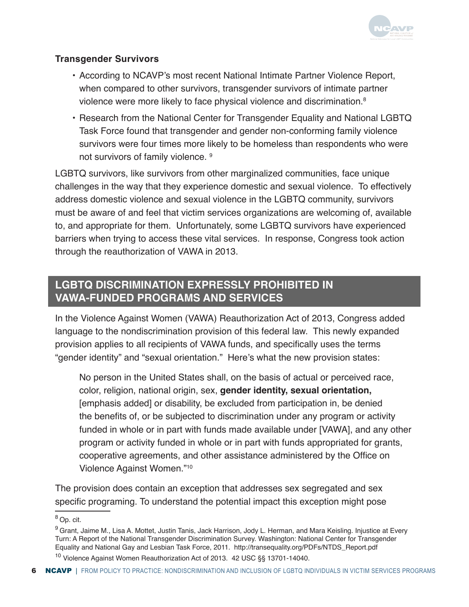

# **Transgender Survivors**

- According to NCAVP's most recent National Intimate Partner Violence Report, when compared to other survivors, transgender survivors of intimate partner violence were more likely to face physical violence and discrimination.<sup>8</sup>
- Research from the National Center for Transgender Equality and National LGBTQ Task Force found that transgender and gender non-conforming family violence survivors were four times more likely to be homeless than respondents who were not survivors of family violence. <sup>9</sup>

LGBTQ survivors, like survivors from other marginalized communities, face unique challenges in the way that they experience domestic and sexual violence. To effectively address domestic violence and sexual violence in the LGBTQ community, survivors must be aware of and feel that victim services organizations are welcoming of, available to, and appropriate for them. Unfortunately, some LGBTQ survivors have experienced barriers when trying to access these vital services. In response, Congress took action through the reauthorization of VAWA in 2013.

# **LGBTQ DISCRIMINATION EXPRESSLY PROHIBITED IN VAWA-FUNDED PROGRAMS AND SERVICES**

In the Violence Against Women (VAWA) Reauthorization Act of 2013, Congress added language to the nondiscrimination provision of this federal law. This newly expanded provision applies to all recipients of VAWA funds, and specifically uses the terms "gender identity" and "sexual orientation." Here's what the new provision states:

No person in the United States shall, on the basis of actual or perceived race, color, religion, national origin, sex, **gender identity, sexual orientation,** [emphasis added] or disability, be excluded from participation in, be denied the benefits of, or be subjected to discrimination under any program or activity funded in whole or in part with funds made available under [VAWA], and any other program or activity funded in whole or in part with funds appropriated for grants, cooperative agreements, and other assistance administered by the Office on Violence Against Women."10

The provision does contain an exception that addresses sex segregated and sex specific programing. To understand the potential impact this exception might pose

<sup>8</sup>Op. cit.

<sup>&</sup>lt;sup>9</sup> Grant, Jaime M., Lisa A. Mottet, Justin Tanis, Jack Harrison, Jody L. Herman, and Mara Keisling. Injustice at Every Turn: A Report of the National Transgender Discrimination Survey. Washington: National Center for Transgender Equality and National Gay and Lesbian Task Force, 2011. [http://transequality.org/PDFs/NTDS\\_Report.pdf](http://transequality.org/PDFs/NTDS_Report.pdf)

<sup>10</sup> Violence Against Women Reauthorization Act of 2013. 42 USC §§ 13701-14040.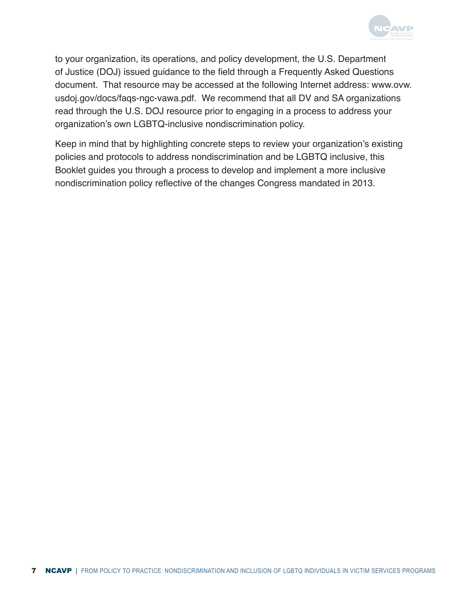

to your organization, its operations, and policy development, the U.S. Department of Justice (DOJ) issued guidance to the field through a Frequently Asked Questions document. That resource may be accessed at the following Internet address: www.ovw. usdoj.gov/docs/faqs-ngc-vawa.pdf. We recommend that all DV and SA organizations read through the U.S. DOJ resource prior to engaging in a process to address your organization's own LGBTQ-inclusive nondiscrimination policy.

Keep in mind that by highlighting concrete steps to review your organization's existing policies and protocols to address nondiscrimination and be LGBTQ inclusive, this Booklet guides you through a process to develop and implement a more inclusive nondiscrimination policy reflective of the changes Congress mandated in 2013.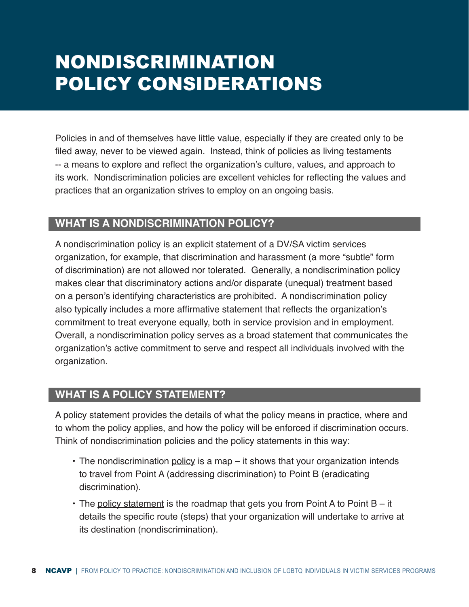# <span id="page-8-0"></span>NONDISCRIMINATION POLICY CONSIDERATIONS

Policies in and of themselves have little value, especially if they are created only to be filed away, never to be viewed again. Instead, think of policies as living testaments -- a means to explore and reflect the organization's culture, values, and approach to its work. Nondiscrimination policies are excellent vehicles for reflecting the values and practices that an organization strives to employ on an ongoing basis.

# **WHAT IS A NONDISCRIMINATION POLICY?**

A nondiscrimination policy is an explicit statement of a DV/SA victim services organization, for example, that discrimination and harassment (a more "subtle" form of discrimination) are not allowed nor tolerated. Generally, a nondiscrimination policy makes clear that discriminatory actions and/or disparate (unequal) treatment based on a person's identifying characteristics are prohibited. A nondiscrimination policy also typically includes a more affirmative statement that reflects the organization's commitment to treat everyone equally, both in service provision and in employment. Overall, a nondiscrimination policy serves as a broad statement that communicates the organization's active commitment to serve and respect all individuals involved with the organization.

# **WHAT IS A POLICY STATEMENT?**

A policy statement provides the details of what the policy means in practice, where and to whom the policy applies, and how the policy will be enforced if discrimination occurs. Think of nondiscrimination policies and the policy statements in this way:

- The nondiscrimination policy is a map it shows that your organization intends to travel from Point A (addressing discrimination) to Point B (eradicating discrimination).
- The policy statement is the roadmap that gets you from Point A to Point B it details the specific route (steps) that your organization will undertake to arrive at its destination (nondiscrimination).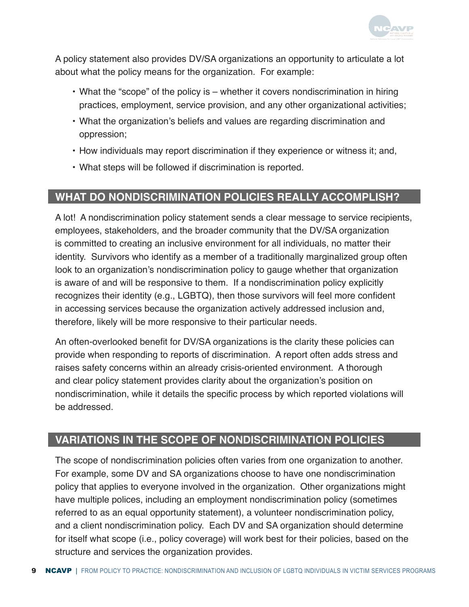

<span id="page-9-0"></span>A policy statement also provides DV/SA organizations an opportunity to articulate a lot about what the policy means for the organization. For example:

- What the "scope" of the policy is whether it covers nondiscrimination in hiring practices, employment, service provision, and any other organizational activities;
- What the organization's beliefs and values are regarding discrimination and oppression;
- How individuals may report discrimination if they experience or witness it; and,
- What steps will be followed if discrimination is reported.

# **WHAT DO NONDISCRIMINATION POLICIES REALLY ACCOMPLISH?**

A lot! A nondiscrimination policy statement sends a clear message to service recipients, employees, stakeholders, and the broader community that the DV/SA organization is committed to creating an inclusive environment for all individuals, no matter their identity. Survivors who identify as a member of a traditionally marginalized group often look to an organization's nondiscrimination policy to gauge whether that organization is aware of and will be responsive to them. If a nondiscrimination policy explicitly recognizes their identity (e.g., LGBTQ), then those survivors will feel more confident in accessing services because the organization actively addressed inclusion and, therefore, likely will be more responsive to their particular needs.

An often-overlooked benefit for DV/SA organizations is the clarity these policies can provide when responding to reports of discrimination. A report often adds stress and raises safety concerns within an already crisis-oriented environment. A thorough and clear policy statement provides clarity about the organization's position on nondiscrimination, while it details the specific process by which reported violations will be addressed.

# **VARIATIONS IN THE SCOPE OF NONDISCRIMINATION POLICIES**

The scope of nondiscrimination policies often varies from one organization to another. For example, some DV and SA organizations choose to have one nondiscrimination policy that applies to everyone involved in the organization. Other organizations might have multiple polices, including an employment nondiscrimination policy (sometimes referred to as an equal opportunity statement), a volunteer nondiscrimination policy, and a client nondiscrimination policy. Each DV and SA organization should determine for itself what scope (i.e., policy coverage) will work best for their policies, based on the structure and services the organization provides.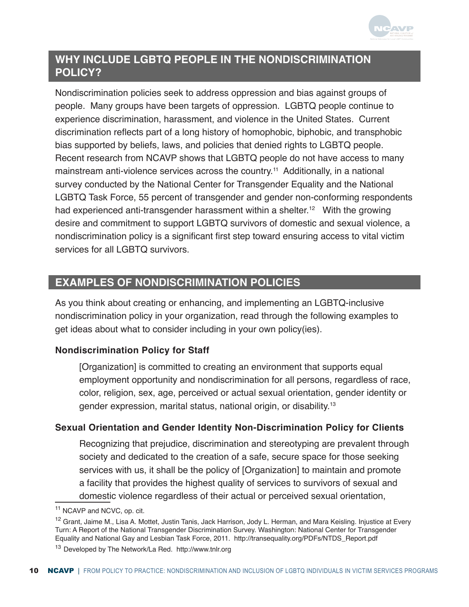

# <span id="page-10-0"></span>**WHY INCLUDE LGBTQ PEOPLE IN THE NONDISCRIMINATION POLICY?**

Nondiscrimination policies seek to address oppression and bias against groups of people. Many groups have been targets of oppression. LGBTQ people continue to experience discrimination, harassment, and violence in the United States. Current discrimination reflects part of a long history of homophobic, biphobic, and transphobic bias supported by beliefs, laws, and policies that denied rights to LGBTQ people. Recent research from NCAVP shows that LGBTQ people do not have access to many mainstream anti-violence services across the country.<sup>11</sup> Additionally, in a national survey conducted by the National Center for Transgender Equality and the National LGBTQ Task Force, 55 percent of transgender and gender non-conforming respondents had experienced anti-transgender harassment within a shelter.<sup>12</sup> With the growing desire and commitment to support LGBTQ survivors of domestic and sexual violence, a nondiscrimination policy is a significant first step toward ensuring access to vital victim services for all LGBTQ survivors.

# **EXAMPLES OF NONDISCRIMINATION POLICIES**

As you think about creating or enhancing, and implementing an LGBTQ-inclusive nondiscrimination policy in your organization, read through the following examples to get ideas about what to consider including in your own policy(ies).

# **Nondiscrimination Policy for Staff**

[Organization] is committed to creating an environment that supports equal employment opportunity and nondiscrimination for all persons, regardless of race, color, religion, sex, age, perceived or actual sexual orientation, gender identity or gender expression, marital status, national origin, or disability.<sup>1</sup><sup>3</sup>

# **Sexual Orientation and Gender Identity Non-Discrimination Policy for Clients**

Recognizing that prejudice, discrimination and stereotyping are prevalent through society and dedicated to the creation of a safe, secure space for those seeking services with us, it shall be the policy of [Organization] to maintain and promote a facility that provides the highest quality of services to survivors of sexual and domestic violence regardless of their actual or perceived sexual orientation,

<sup>&</sup>lt;sup>11</sup> NCAVP and NCVC, op. cit.

<sup>&</sup>lt;sup>12</sup> Grant, Jaime M., Lisa A. Mottet, Justin Tanis, Jack Harrison, Jody L. Herman, and Mara Keisling. Injustice at Every Turn: A Report of the National Transgender Discrimination Survey. Washington: National Center for Transgender Equality and National Gay and Lesbian Task Force, 2011. [http://transequality.org/PDFs/NTDS\\_Report.pdf](http://transequality.org/PDFs/NTDS_Report.pdf)

<sup>13</sup> Developed by The Network/La Red. <http://www.tnlr.org>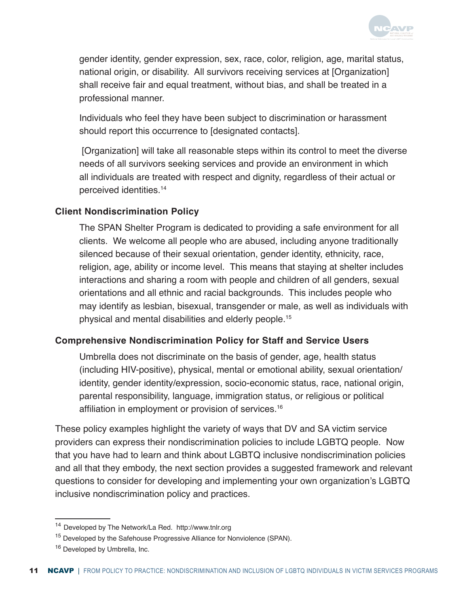

gender identity, gender expression, sex, race, color, religion, age, marital status, national origin, or disability. All survivors receiving services at [Organization] shall receive fair and equal treatment, without bias, and shall be treated in a professional manner.

Individuals who feel they have been subject to discrimination or harassment should report this occurrence to [designated contacts].

 [Organization] will take all reasonable steps within its control to meet the diverse needs of all survivors seeking services and provide an environment in which all individuals are treated with respect and dignity, regardless of their actual or perceived identities.<sup>1</sup><sup>4</sup>

## **Client Nondiscrimination Policy**

The SPAN Shelter Program is dedicated to providing a safe environment for all clients. We welcome all people who are abused, including anyone traditionally silenced because of their sexual orientation, gender identity, ethnicity, race, religion, age, ability or income level. This means that staying at shelter includes interactions and sharing a room with people and children of all genders, sexual orientations and all ethnic and racial backgrounds. This includes people who may identify as lesbian, bisexual, transgender or male, as well as individuals with physical and mental disabilities and elderly people.<sup>15</sup>

# **Comprehensive Nondiscrimination Policy for Staff and Service Users**

Umbrella does not discriminate on the basis of gender, age, health status (including HIV-positive), physical, mental or emotional ability, sexual orientation/ identity, gender identity/expression, socio-economic status, race, national origin, parental responsibility, language, immigration status, or religious or political affiliation in employment or provision of services.<sup>16</sup>

These policy examples highlight the variety of ways that DV and SA victim service providers can express their nondiscrimination policies to include LGBTQ people. Now that you have had to learn and think about LGBTQ inclusive nondiscrimination policies and all that they embody, the next section provides a suggested framework and relevant questions to consider for developing and implementing your own organization's LGBTQ inclusive nondiscrimination policy and practices.

<sup>14</sup> Developed by The Network/La Red. <http://www.tnlr.org>

<sup>&</sup>lt;sup>15</sup> Developed by the Safehouse Progressive Alliance for Nonviolence (SPAN).

<sup>&</sup>lt;sup>16</sup> Developed by Umbrella, Inc.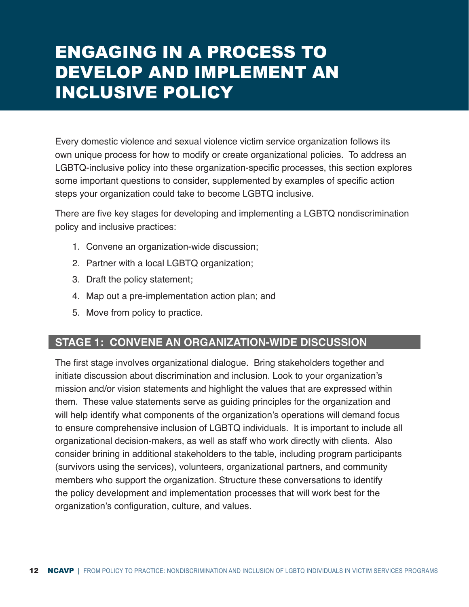# <span id="page-12-0"></span>ENGAGING IN A PROCESS TO DEVELOP AND IMPLEMENT AN INCLUSIVE POLICY

Every domestic violence and sexual violence victim service organization follows its own unique process for how to modify or create organizational policies. To address an LGBTQ-inclusive policy into these organization-specific processes, this section explores some important questions to consider, supplemented by examples of specific action steps your organization could take to become LGBTQ inclusive.

There are five key stages for developing and implementing a LGBTQ nondiscrimination policy and inclusive practices:

- 1. Convene an organization-wide discussion;
- 2. Partner with a local LGBTQ organization;
- 3. Draft the policy statement;
- 4. Map out a pre-implementation action plan; and
- 5. Move from policy to practice.

# **STAGE 1: CONVENE AN ORGANIZATION-WIDE DISCUSSION**

The first stage involves organizational dialogue. Bring stakeholders together and initiate discussion about discrimination and inclusion. Look to your organization's mission and/or vision statements and highlight the values that are expressed within them. These value statements serve as guiding principles for the organization and will help identify what components of the organization's operations will demand focus to ensure comprehensive inclusion of LGBTQ individuals. It is important to include all organizational decision-makers, as well as staff who work directly with clients. Also consider brining in additional stakeholders to the table, including program participants (survivors using the services), volunteers, organizational partners, and community members who support the organization. Structure these conversations to identify the policy development and implementation processes that will work best for the organization's configuration, culture, and values.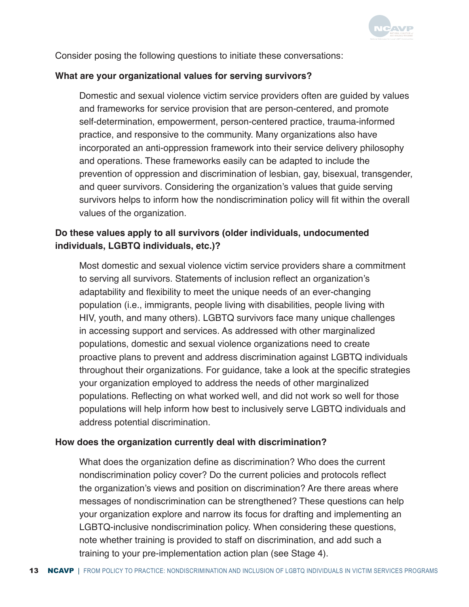

Consider posing the following questions to initiate these conversations:

#### **What are your organizational values for serving survivors?**

Domestic and sexual violence victim service providers often are guided by values and frameworks for service provision that are person-centered, and promote self-determination, empowerment, person-centered practice, trauma-informed practice, and responsive to the community. Many organizations also have incorporated an anti-oppression framework into their service delivery philosophy and operations. These frameworks easily can be adapted to include the prevention of oppression and discrimination of lesbian, gay, bisexual, transgender, and queer survivors. Considering the organization's values that guide serving survivors helps to inform how the nondiscrimination policy will fit within the overall values of the organization.

# **Do these values apply to all survivors (older individuals, undocumented individuals, LGBTQ individuals, etc.)?**

Most domestic and sexual violence victim service providers share a commitment to serving all survivors. Statements of inclusion reflect an organization's adaptability and flexibility to meet the unique needs of an ever-changing population (i.e., immigrants, people living with disabilities, people living with HIV, youth, and many others). LGBTQ survivors face many unique challenges in accessing support and services. As addressed with other marginalized populations, domestic and sexual violence organizations need to create proactive plans to prevent and address discrimination against LGBTQ individuals throughout their organizations. For guidance, take a look at the specific strategies your organization employed to address the needs of other marginalized populations. Reflecting on what worked well, and did not work so well for those populations will help inform how best to inclusively serve LGBTQ individuals and address potential discrimination.

#### **How does the organization currently deal with discrimination?**

What does the organization define as discrimination? Who does the current nondiscrimination policy cover? Do the current policies and protocols reflect the organization's views and position on discrimination? Are there areas where messages of nondiscrimination can be strengthened? These questions can help your organization explore and narrow its focus for drafting and implementing an LGBTQ-inclusive nondiscrimination policy. When considering these questions, note whether training is provided to staff on discrimination, and add such a training to your pre-implementation action plan (see Stage 4).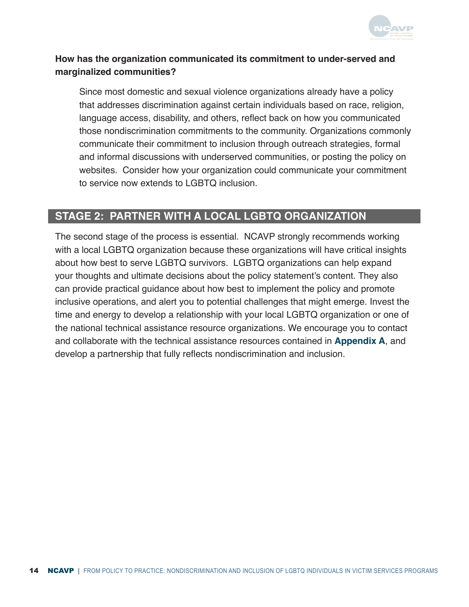

# <span id="page-14-0"></span>**How has the organization communicated its commitment to under-served and marginalized communities?**

Since most domestic and sexual violence organizations already have a policy that addresses discrimination against certain individuals based on race, religion, language access, disability, and others, reflect back on how you communicated those nondiscrimination commitments to the community. Organizations commonly communicate their commitment to inclusion through outreach strategies, formal and informal discussions with underserved communities, or posting the policy on websites. Consider how your organization could communicate your commitment to service now extends to LGBTQ inclusion.

# **STAGE 2: PARTNER WITH A LOCAL LGBTQ ORGANIZATION**

The second stage of the process is essential. NCAVP strongly recommends working with a local LGBTQ organization because these organizations will have critical insights about how best to serve LGBTQ survivors. LGBTQ organizations can help expand your thoughts and ultimate decisions about the policy statement's content. They also can provide practical guidance about how best to implement the policy and promote inclusive operations, and alert you to potential challenges that might emerge. Invest the time and energy to develop a relationship with your local LGBTQ organization or one of the national technical assistance resource organizations. We encourage you to contact and collaborate with the technical assistance resources contained in **[Appendix A](#page-23-0)**, and develop a partnership that fully reflects nondiscrimination and inclusion.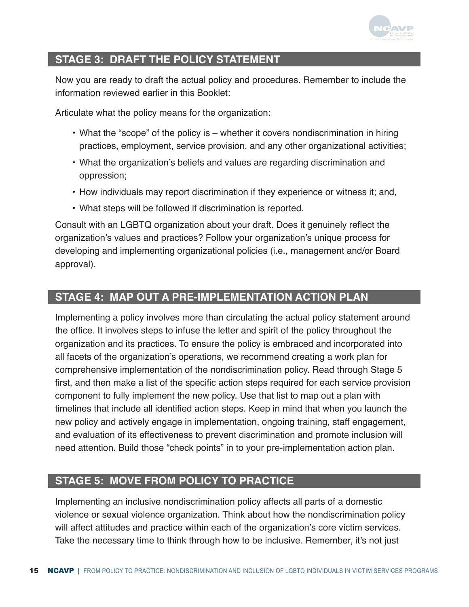

# <span id="page-15-0"></span>**STAGE 3: DRAFT THE POLICY STATEMENT**

Now you are ready to draft the actual policy and procedures. Remember to include the information reviewed earlier in this Booklet:

Articulate what the policy means for the organization:

- What the "scope" of the policy is whether it covers nondiscrimination in hiring practices, employment, service provision, and any other organizational activities;
- What the organization's beliefs and values are regarding discrimination and oppression;
- How individuals may report discrimination if they experience or witness it; and,
- What steps will be followed if discrimination is reported.

Consult with an LGBTQ organization about your draft. Does it genuinely reflect the organization's values and practices? Follow your organization's unique process for developing and implementing organizational policies (i.e., management and/or Board approval).

# **STAGE 4: MAP OUT A PRE-IMPLEMENTATION ACTION PLAN**

Implementing a policy involves more than circulating the actual policy statement around the office. It involves steps to infuse the letter and spirit of the policy throughout the organization and its practices. To ensure the policy is embraced and incorporated into all facets of the organization's operations, we recommend creating a work plan for comprehensive implementation of the nondiscrimination policy. Read through Stage 5 first, and then make a list of the specific action steps required for each service provision component to fully implement the new policy. Use that list to map out a plan with timelines that include all identified action steps. Keep in mind that when you launch the new policy and actively engage in implementation, ongoing training, staff engagement, and evaluation of its effectiveness to prevent discrimination and promote inclusion will need attention. Build those "check points" in to your pre-implementation action plan.

# **STAGE 5: MOVE FROM POLICY TO PRACTICE**

Implementing an inclusive nondiscrimination policy affects all parts of a domestic violence or sexual violence organization. Think about how the nondiscrimination policy will affect attitudes and practice within each of the organization's core victim services. Take the necessary time to think through how to be inclusive. Remember, it's not just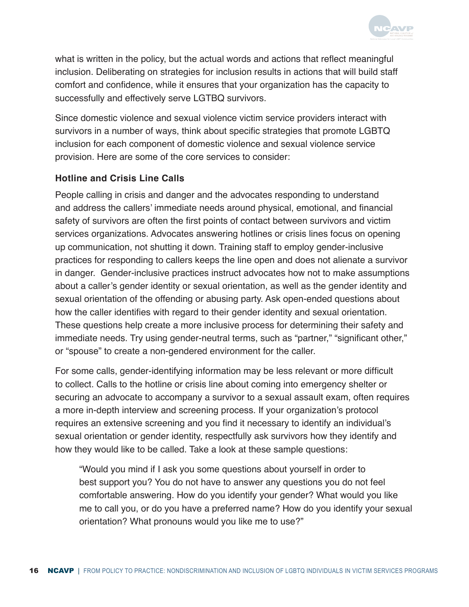

what is written in the policy, but the actual words and actions that reflect meaningful inclusion. Deliberating on strategies for inclusion results in actions that will build staff comfort and confidence, while it ensures that your organization has the capacity to successfully and effectively serve LGTBQ survivors.

Since domestic violence and sexual violence victim service providers interact with survivors in a number of ways, think about specific strategies that promote LGBTQ inclusion for each component of domestic violence and sexual violence service provision. Here are some of the core services to consider:

# **Hotline and Crisis Line Calls**

People calling in crisis and danger and the advocates responding to understand and address the callers' immediate needs around physical, emotional, and financial safety of survivors are often the first points of contact between survivors and victim services organizations. Advocates answering hotlines or crisis lines focus on opening up communication, not shutting it down. Training staff to employ gender-inclusive practices for responding to callers keeps the line open and does not alienate a survivor in danger. Gender-inclusive practices instruct advocates how not to make assumptions about a caller's gender identity or sexual orientation, as well as the gender identity and sexual orientation of the offending or abusing party. Ask open-ended questions about how the caller identifies with regard to their gender identity and sexual orientation. These questions help create a more inclusive process for determining their safety and immediate needs. Try using gender-neutral terms, such as "partner," "significant other," or "spouse" to create a non-gendered environment for the caller.

For some calls, gender-identifying information may be less relevant or more difficult to collect. Calls to the hotline or crisis line about coming into emergency shelter or securing an advocate to accompany a survivor to a sexual assault exam, often requires a more in-depth interview and screening process. If your organization's protocol requires an extensive screening and you find it necessary to identify an individual's sexual orientation or gender identity, respectfully ask survivors how they identify and how they would like to be called. Take a look at these sample questions:

"Would you mind if I ask you some questions about yourself in order to best support you? You do not have to answer any questions you do not feel comfortable answering. How do you identify your gender? What would you like me to call you, or do you have a preferred name? How do you identify your sexual orientation? What pronouns would you like me to use?"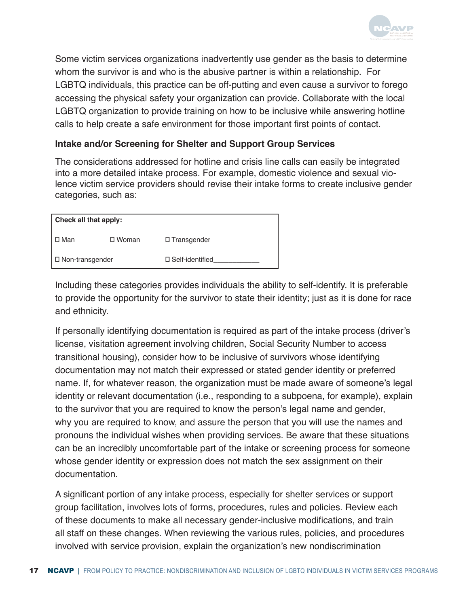

Some victim services organizations inadvertently use gender as the basis to determine whom the survivor is and who is the abusive partner is within a relationship. For LGBTQ individuals, this practice can be off-putting and even cause a survivor to forego accessing the physical safety your organization can provide. Collaborate with the local LGBTQ organization to provide training on how to be inclusive while answering hotline calls to help create a safe environment for those important first points of contact.

## **Intake and/or Screening for Shelter and Support Group Services**

The considerations addressed for hotline and crisis line calls can easily be integrated into a more detailed intake process. For example, domestic violence and sexual violence victim service providers should revise their intake forms to create inclusive gender categories, such as:

| Check all that apply: |                 |                           |
|-----------------------|-----------------|---------------------------|
| □ Man                 | $\square$ Woman | $\square$ Transgender     |
| □ Non-transgender     |                 | $\square$ Self-identified |

Including these categories provides individuals the ability to self-identify. It is preferable to provide the opportunity for the survivor to state their identity; just as it is done for race and ethnicity.

If personally identifying documentation is required as part of the intake process (driver's license, visitation agreement involving children, Social Security Number to access transitional housing), consider how to be inclusive of survivors whose identifying documentation may not match their expressed or stated gender identity or preferred name. If, for whatever reason, the organization must be made aware of someone's legal identity or relevant documentation (i.e., responding to a subpoena, for example), explain to the survivor that you are required to know the person's legal name and gender, why you are required to know, and assure the person that you will use the names and pronouns the individual wishes when providing services. Be aware that these situations can be an incredibly uncomfortable part of the intake or screening process for someone whose gender identity or expression does not match the sex assignment on their documentation.

A significant portion of any intake process, especially for shelter services or support group facilitation, involves lots of forms, procedures, rules and policies. Review each of these documents to make all necessary gender-inclusive modifications, and train all staff on these changes. When reviewing the various rules, policies, and procedures involved with service provision, explain the organization's new nondiscrimination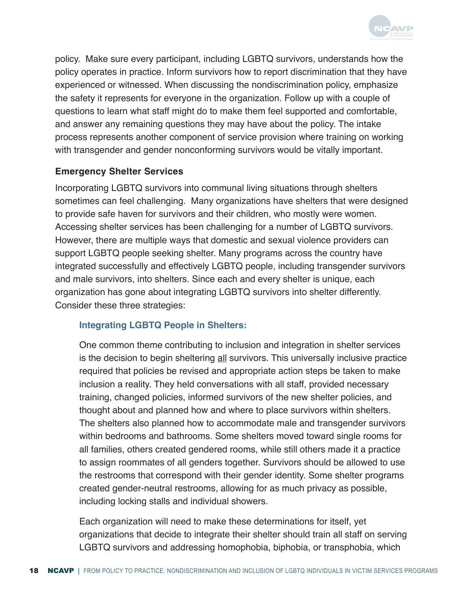

policy. Make sure every participant, including LGBTQ survivors, understands how the policy operates in practice. Inform survivors how to report discrimination that they have experienced or witnessed. When discussing the nondiscrimination policy, emphasize the safety it represents for everyone in the organization. Follow up with a couple of questions to learn what staff might do to make them feel supported and comfortable, and answer any remaining questions they may have about the policy. The intake process represents another component of service provision where training on working with transgender and gender nonconforming survivors would be vitally important.

## **Emergency Shelter Services**

Incorporating LGBTQ survivors into communal living situations through shelters sometimes can feel challenging. Many organizations have shelters that were designed to provide safe haven for survivors and their children, who mostly were women. Accessing shelter services has been challenging for a number of LGBTQ survivors. However, there are multiple ways that domestic and sexual violence providers can support LGBTQ people seeking shelter. Many programs across the country have integrated successfully and effectively LGBTQ people, including transgender survivors and male survivors, into shelters. Since each and every shelter is unique, each organization has gone about integrating LGBTQ survivors into shelter differently. Consider these three strategies:

# **Integrating LGBTQ People in Shelters:**

One common theme contributing to inclusion and integration in shelter services is the decision to begin sheltering all survivors. This universally inclusive practice required that policies be revised and appropriate action steps be taken to make inclusion a reality. They held conversations with all staff, provided necessary training, changed policies, informed survivors of the new shelter policies, and thought about and planned how and where to place survivors within shelters. The shelters also planned how to accommodate male and transgender survivors within bedrooms and bathrooms. Some shelters moved toward single rooms for all families, others created gendered rooms, while still others made it a practice to assign roommates of all genders together. Survivors should be allowed to use the restrooms that correspond with their gender identity. Some shelter programs created gender-neutral restrooms, allowing for as much privacy as possible, including locking stalls and individual showers.

Each organization will need to make these determinations for itself, yet organizations that decide to integrate their shelter should train all staff on serving LGBTQ survivors and addressing homophobia, biphobia, or transphobia, which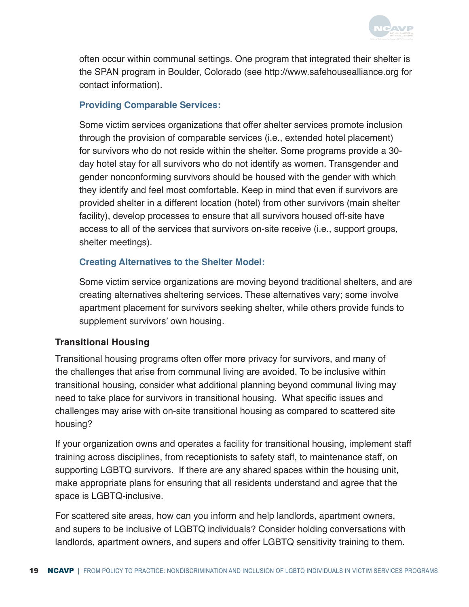

often occur within communal settings. One program that integrated their shelter is the SPAN program in Boulder, Colorado (see [http://www.safehousealliance.org](http://www.safehousealliance.org ) for contact information).

# **Providing Comparable Services:**

Some victim services organizations that offer shelter services promote inclusion through the provision of comparable services (i.e., extended hotel placement) for survivors who do not reside within the shelter. Some programs provide a 30 day hotel stay for all survivors who do not identify as women. Transgender and gender nonconforming survivors should be housed with the gender with which they identify and feel most comfortable. Keep in mind that even if survivors are provided shelter in a different location (hotel) from other survivors (main shelter facility), develop processes to ensure that all survivors housed off-site have access to all of the services that survivors on-site receive (i.e., support groups, shelter meetings).

# **Creating Alternatives to the Shelter Model:**

Some victim service organizations are moving beyond traditional shelters, and are creating alternatives sheltering services. These alternatives vary; some involve apartment placement for survivors seeking shelter, while others provide funds to supplement survivors' own housing.

# **Transitional Housing**

Transitional housing programs often offer more privacy for survivors, and many of the challenges that arise from communal living are avoided. To be inclusive within transitional housing, consider what additional planning beyond communal living may need to take place for survivors in transitional housing. What specific issues and challenges may arise with on-site transitional housing as compared to scattered site housing?

If your organization owns and operates a facility for transitional housing, implement staff training across disciplines, from receptionists to safety staff, to maintenance staff, on supporting LGBTQ survivors. If there are any shared spaces within the housing unit, make appropriate plans for ensuring that all residents understand and agree that the space is LGBTQ-inclusive.

For scattered site areas, how can you inform and help landlords, apartment owners, and supers to be inclusive of LGBTQ individuals? Consider holding conversations with landlords, apartment owners, and supers and offer LGBTQ sensitivity training to them.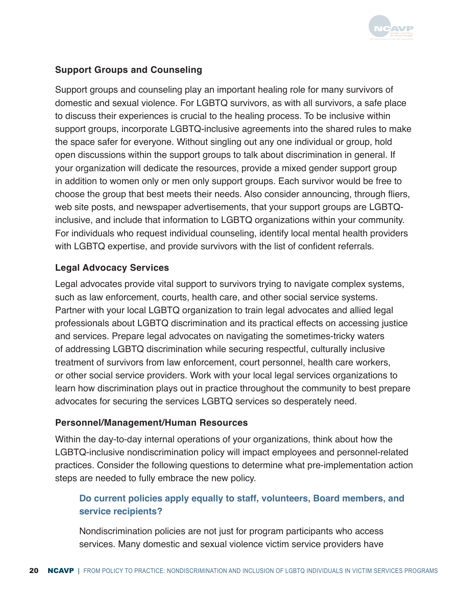

# **Support Groups and Counseling**

Support groups and counseling play an important healing role for many survivors of domestic and sexual violence. For LGBTQ survivors, as with all survivors, a safe place to discuss their experiences is crucial to the healing process. To be inclusive within support groups, incorporate LGBTQ-inclusive agreements into the shared rules to make the space safer for everyone. Without singling out any one individual or group, hold open discussions within the support groups to talk about discrimination in general. If your organization will dedicate the resources, provide a mixed gender support group in addition to women only or men only support groups. Each survivor would be free to choose the group that best meets their needs. Also consider announcing, through fliers, web site posts, and newspaper advertisements, that your support groups are LGBTQinclusive, and include that information to LGBTQ organizations within your community. For individuals who request individual counseling, identify local mental health providers with LGBTQ expertise, and provide survivors with the list of confident referrals.

# **Legal Advocacy Services**

Legal advocates provide vital support to survivors trying to navigate complex systems, such as law enforcement, courts, health care, and other social service systems. Partner with your local LGBTQ organization to train legal advocates and allied legal professionals about LGBTQ discrimination and its practical effects on accessing justice and services. Prepare legal advocates on navigating the sometimes-tricky waters of addressing LGBTQ discrimination while securing respectful, culturally inclusive treatment of survivors from law enforcement, court personnel, health care workers, or other social service providers. Work with your local legal services organizations to learn how discrimination plays out in practice throughout the community to best prepare advocates for securing the services LGBTQ services so desperately need.

#### **Personnel/Management/Human Resources**

Within the day-to-day internal operations of your organizations, think about how the LGBTQ-inclusive nondiscrimination policy will impact employees and personnel-related practices. Consider the following questions to determine what pre-implementation action steps are needed to fully embrace the new policy.

# **Do current policies apply equally to staff, volunteers, Board members, and service recipients?**

Nondiscrimination policies are not just for program participants who access services. Many domestic and sexual violence victim service providers have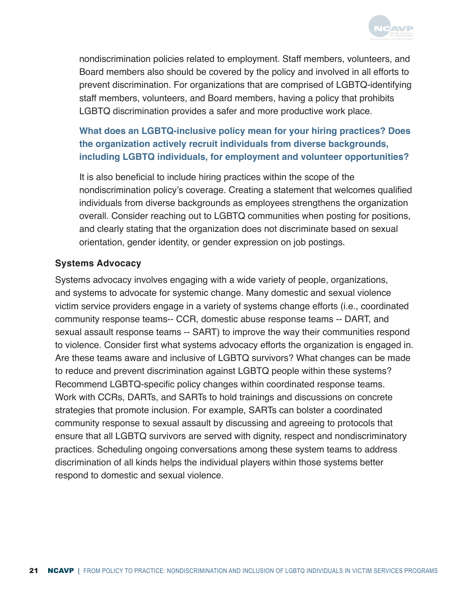

nondiscrimination policies related to employment. Staff members, volunteers, and Board members also should be covered by the policy and involved in all efforts to prevent discrimination. For organizations that are comprised of LGBTQ-identifying staff members, volunteers, and Board members, having a policy that prohibits LGBTQ discrimination provides a safer and more productive work place.

**What does an LGBTQ-inclusive policy mean for your hiring practices? Does the organization actively recruit individuals from diverse backgrounds, including LGBTQ individuals, for employment and volunteer opportunities?**

It is also beneficial to include hiring practices within the scope of the nondiscrimination policy's coverage. Creating a statement that welcomes qualified individuals from diverse backgrounds as employees strengthens the organization overall. Consider reaching out to LGBTQ communities when posting for positions, and clearly stating that the organization does not discriminate based on sexual orientation, gender identity, or gender expression on job postings.

## **Systems Advocacy**

Systems advocacy involves engaging with a wide variety of people, organizations, and systems to advocate for systemic change. Many domestic and sexual violence victim service providers engage in a variety of systems change efforts (i.e., coordinated community response teams-- CCR, domestic abuse response teams -- DART, and sexual assault response teams -- SART) to improve the way their communities respond to violence. Consider first what systems advocacy efforts the organization is engaged in. Are these teams aware and inclusive of LGBTQ survivors? What changes can be made to reduce and prevent discrimination against LGBTQ people within these systems? Recommend LGBTQ-specific policy changes within coordinated response teams. Work with CCRs, DARTs, and SARTs to hold trainings and discussions on concrete strategies that promote inclusion. For example, SARTs can bolster a coordinated community response to sexual assault by discussing and agreeing to protocols that ensure that all LGBTQ survivors are served with dignity, respect and nondiscriminatory practices. Scheduling ongoing conversations among these system teams to address discrimination of all kinds helps the individual players within those systems better respond to domestic and sexual violence.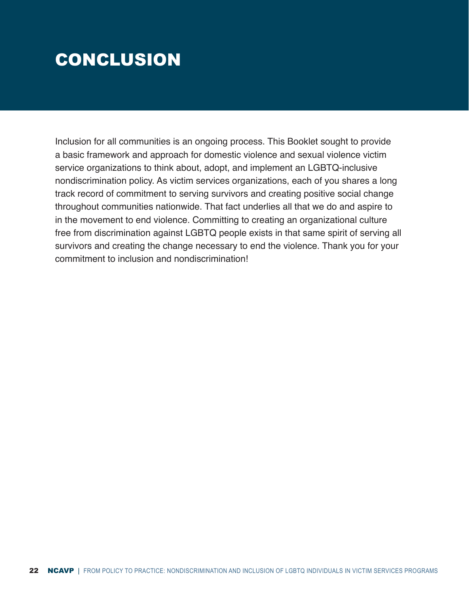# <span id="page-22-0"></span>CONCLUSION

Inclusion for all communities is an ongoing process. This Booklet sought to provide a basic framework and approach for domestic violence and sexual violence victim service organizations to think about, adopt, and implement an LGBTQ-inclusive nondiscrimination policy. As victim services organizations, each of you shares a long track record of commitment to serving survivors and creating positive social change throughout communities nationwide. That fact underlies all that we do and aspire to in the movement to end violence. Committing to creating an organizational culture free from discrimination against LGBTQ people exists in that same spirit of serving all survivors and creating the change necessary to end the violence. Thank you for your commitment to inclusion and nondiscrimination!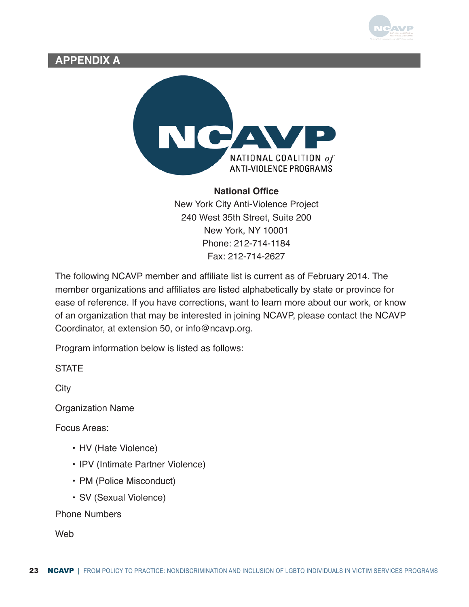

# <span id="page-23-0"></span>**APPENDIX A**



#### **National Office**

New York City Anti-Violence Project 240 West 35th Street, Suite 200 New York, NY 10001 Phone: 212-714-1184 Fax: 212-714-2627

The following NCAVP member and affiliate list is current as of February 2014. The member organizations and affiliates are listed alphabetically by state or province for ease of reference. If you have corrections, want to learn more about our work, or know of an organization that may be interested in joining NCAVP, please contact the NCAVP Coordinator, at extension 50, or info@ncavp.org.

Program information below is listed as follows:

**STATE** 

**City** 

Organization Name

Focus Areas:

- HV (Hate Violence)
- IPV (Intimate Partner Violence)
- PM (Police Misconduct)
- SV (Sexual Violence)

Phone Numbers

**Web**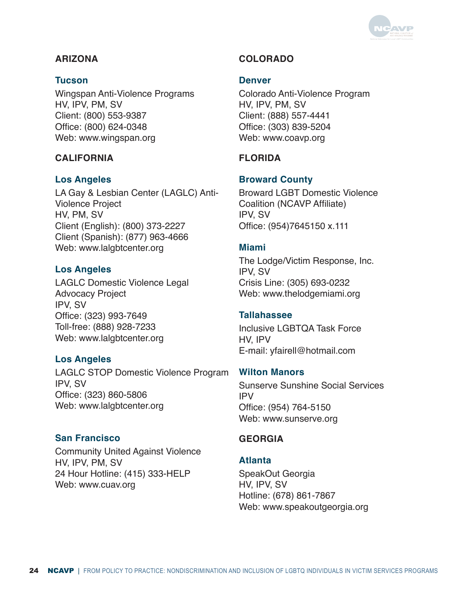

# **ARIZONA**

#### **Tucson**

Wingspan Anti-Violence Programs HV, IPV, PM, SV Client: (800) 553-9387 Office: (800) 624-0348 Web: www.wingspan.org

#### **CALIFORNIA**

#### **Los Angeles**

LA Gay & Lesbian Center (LAGLC) Anti-Violence Project HV, PM, SV Client (English): (800) 373-2227 Client (Spanish): (877) 963-4666 Web: www.lalgbtcenter.org

#### **Los Angeles**

LAGLC Domestic Violence Legal Advocacy Project IPV, SV Office: (323) 993-7649 Toll-free: (888) 928-7233 Web: www.lalgbtcenter.org

#### **Los Angeles**

LAGLC STOP Domestic Violence Program IPV, SV Office: (323) 860-5806 Web: www.lalgbtcenter.org

#### **San Francisco**

Community United Against Violence HV, IPV, PM, SV 24 Hour Hotline: (415) 333-HELP Web: www.cuav.org

## **COLORADO**

#### **Denver**

Colorado Anti-Violence Program HV, IPV, PM, SV Client: (888) 557-4441 Office: (303) 839-5204 Web: www.coavp.org

#### **FLORIDA**

#### **Broward County**

Broward LGBT Domestic Violence Coalition (NCAVP Affiliate) IPV, SV Office: (954)7645150 x.111

#### **Miami**

The Lodge/Victim Response, Inc. IPV, SV Crisis Line: (305) 693-0232 Web: www.thelodgemiami.org

#### **Tallahassee**

Inclusive LGBTQA Task Force HV, IPV E-mail: yfairell@hotmail.com

#### **Wilton Manors**

Sunserve Sunshine Social Services IPV Office: (954) 764-5150 Web: www.sunserve.org

#### **GEORGIA**

#### **Atlanta**

SpeakOut Georgia HV, IPV, SV Hotline: (678) 861-7867 Web: www.speakoutgeorgia.org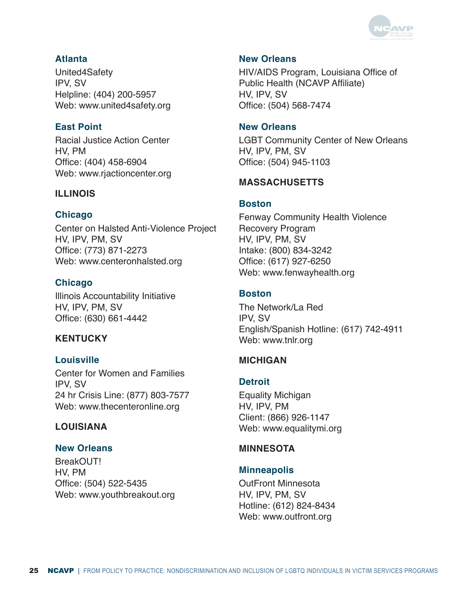

## **Atlanta**

United4Safety IPV, SV Helpline: (404) 200-5957 Web: www.united4safety.org

## **East Point**

Racial Justice Action Center HV, PM Office: (404) 458-6904 Web: www.rjactioncenter.org

## **ILLINOIS**

## **Chicago**

Center on Halsted Anti-Violence Project HV, IPV, PM, SV Office: (773) 871-2273 Web: www.centeronhalsted.org

# **Chicago**

Illinois Accountability Initiative HV, IPV, PM, SV Office: (630) 661-4442

# **KENTUCKY**

# **Louisville**

Center for Women and Families IPV, SV 24 hr Crisis Line: (877) 803-7577 Web: www.thecenteronline.org

# **LOUISIANA**

#### **New Orleans**

BreakOUT! HV, PM Office: (504) 522-5435 Web: www.youthbreakout.org

## **New Orleans**

HIV/AIDS Program, Louisiana Office of Public Health (NCAVP Affiliate) HV, IPV, SV Office: (504) 568-7474

#### **New Orleans**

LGBT Community Center of New Orleans HV, IPV, PM, SV Office: (504) 945-1103

#### **MASSACHUSETTS**

#### **Boston**

Fenway Community Health Violence Recovery Program HV, IPV, PM, SV Intake: (800) 834-3242 Office: (617) 927-6250 Web: www.fenwayhealth.org

#### **Boston**

The Network/La Red IPV, SV English/Spanish Hotline: (617) 742-4911 Web: www.tnlr.org

# **MICHIGAN**

#### **Detroit**

Equality Michigan HV, IPV, PM Client: (866) 926-1147 Web: www.equalitymi.org

#### **MINNESOTA**

#### **Minneapolis**

OutFront Minnesota HV, IPV, PM, SV Hotline: (612) 824-8434 Web: www.outfront.org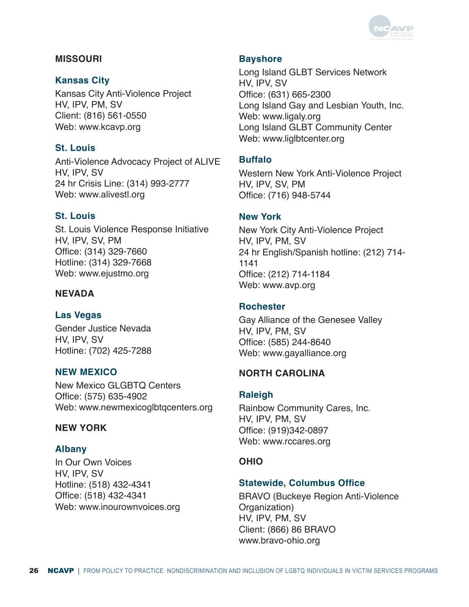

#### **MISSOURI**

#### **Kansas City**

Kansas City Anti-Violence Project HV, IPV, PM, SV Client: (816) 561-0550 Web: www.kcavp.org

## **St. Louis**

Anti-Violence Advocacy Project of ALIVE HV, IPV, SV 24 hr Crisis Line: (314) 993-2777 Web: www.alivestl.org

## **St. Louis**

St. Louis Violence Response Initiative HV, IPV, SV, PM Office: (314) 329-7660 Hotline: (314) 329-7668 Web: www.ejustmo.org

# **NEVADA**

#### **Las Vegas**

Gender Justice Nevada HV, IPV, SV Hotline: (702) 425-7288

#### **NEW MEXICO**

New Mexico GLGBTQ Centers Office: (575) 635-4902 Web: www.newmexicoglbtqcenters.org

#### **NEW YORK**

#### **Albany**

In Our Own Voices HV, IPV, SV Hotline: (518) 432-4341 Office: (518) 432-4341 Web: www.inourownvoices.org

#### **Bayshore**

Long Island GLBT Services Network HV, IPV, SV Office: (631) 665-2300 Long Island Gay and Lesbian Youth, Inc. Web: www.ligaly.org Long Island GLBT Community Center Web: www.liglbtcenter.org

## **Buffalo**

Western New York Anti-Violence Project HV, IPV, SV, PM Office: (716) 948-5744

#### **New York**

New York City Anti-Violence Project HV, IPV, PM, SV 24 hr English/Spanish hotline: (212) 714- 1141 Office: (212) 714-1184 Web: www.avp.org

#### **Rochester**

Gay Alliance of the Genesee Valley HV, IPV, PM, SV Office: (585) 244-8640 Web: www.gayalliance.org

#### **NORTH CAROLINA**

#### **Raleigh**

Rainbow Community Cares, Inc. HV, IPV, PM, SV Office: (919)342-0897 Web: www.rccares.org

#### **OHIO**

#### **Statewide, Columbus Office**

BRAVO (Buckeye Region Anti-Violence Organization) HV, IPV, PM, SV Client: (866) 86 BRAVO www.bravo-ohio.org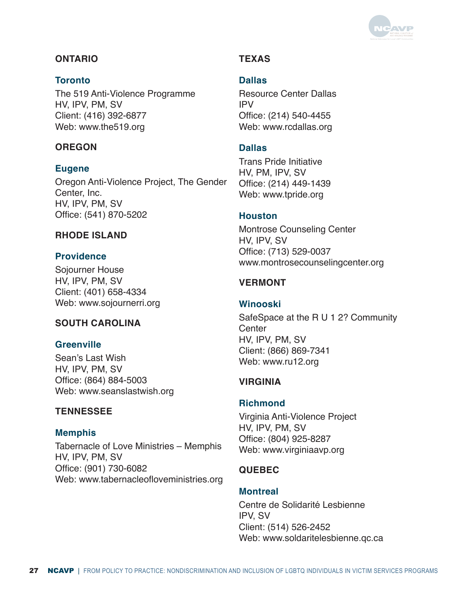

# **ONTARIO**

#### **Toronto**

The 519 Anti-Violence Programme HV, IPV, PM, SV Client: (416) 392-6877 Web: www.the519.org

#### **OREGON**

#### **Eugene**

Oregon Anti-Violence Project, The Gender Center, Inc. HV, IPV, PM, SV Office: (541) 870-5202

#### **RHODE ISLAND**

#### **Providence**

Sojourner House HV, IPV, PM, SV Client: (401) 658-4334 Web: www.sojournerri.org

#### **SOUTH CAROLINA**

#### **Greenville**

Sean's Last Wish HV, IPV, PM, SV Office: (864) 884-5003 Web: www.seanslastwish.org

#### **TENNESSEE**

#### **Memphis**

Tabernacle of Love Ministries – Memphis HV, IPV, PM, SV Office: (901) 730-6082 Web: www.tabernacleofloveministries.org

## **TEXAS**

#### **Dallas**

Resource Center Dallas IPV Office: (214) 540-4455 Web: www.rcdallas.org

#### **Dallas**

Trans Pride Initiative HV, PM, IPV, SV Office: (214) 449-1439 Web: www.tpride.org

#### **Houston**

Montrose Counseling Center HV, IPV, SV Office: (713) 529-0037 www.montrosecounselingcenter.org

#### **VERMONT**

#### **Winooski**

SafeSpace at the R U 1 2? Community **Center** HV, IPV, PM, SV Client: (866) 869-7341 Web: www.ru12.org

#### **VIRGINIA**

#### **Richmond**

Virginia Anti-Violence Project HV, IPV, PM, SV Office: (804) 925-8287 Web: www.virginiaavp.org

#### **QUEBEC**

#### **Montreal**

Centre de Solidarité Lesbienne IPV, SV Client: (514) 526-2452 Web: www.soldaritelesbienne.qc.ca